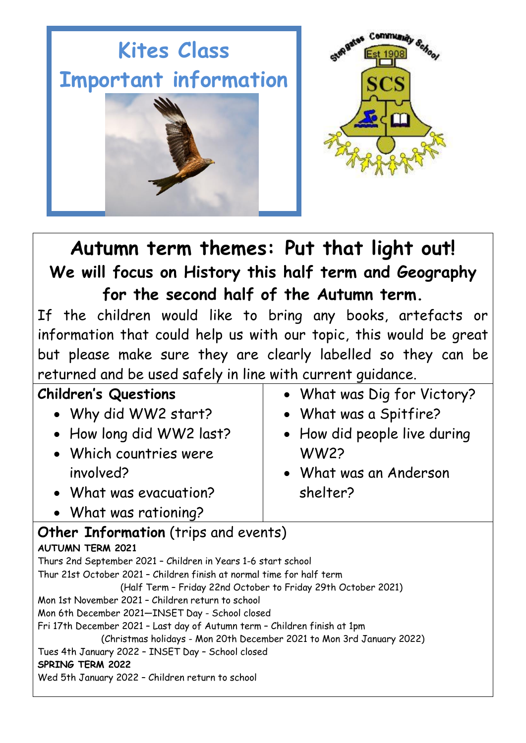



# **Autumn term themes: Put that light out! We will focus on History this half term and Geography for the second half of the Autumn term.**

If the children would like to bring any books, artefacts or information that could help us with our topic, this would be great but please make sure they are clearly labelled so they can be returned and be used safely in line with current guidance.

| <b>Children's Questions</b>                                               | • What was Dig for Victory?  |  |
|---------------------------------------------------------------------------|------------------------------|--|
| • Why did WW2 start?                                                      | • What was a Spitfire?       |  |
| • How long did WW2 last?                                                  | • How did people live during |  |
| • Which countries were                                                    | <b>WW22</b>                  |  |
| involved?                                                                 | • What was an Anderson       |  |
| • What was evacuation?                                                    | shelter?                     |  |
| • What was rationing?                                                     |                              |  |
| <b>Other Information</b> (trips and events)                               |                              |  |
| <b>AUTUMN TERM 2021</b>                                                   |                              |  |
| Thurs 2nd September 2021 - Children in Years 1-6 start school             |                              |  |
| Thur 21st October 2021 - Children finish at normal time for half term     |                              |  |
| (Half Term - Friday 22nd October to Friday 29th October 2021)             |                              |  |
| Mon 1st November 2021 - Children return to school                         |                              |  |
| Mon 6th December 2021-INSET Day - School closed                           |                              |  |
| Fri 17th December 2021 - Last day of Autumn term - Children finish at 1pm |                              |  |
| (Christmas holidays - Mon 20th December 2021 to Mon 3rd January 2022)     |                              |  |
| Tues 4th January 2022 - INSET Day - School closed                         |                              |  |
| <b>SPRING TERM 2022</b>                                                   |                              |  |
| Wed 5th January 2022 - Children return to school                          |                              |  |
|                                                                           |                              |  |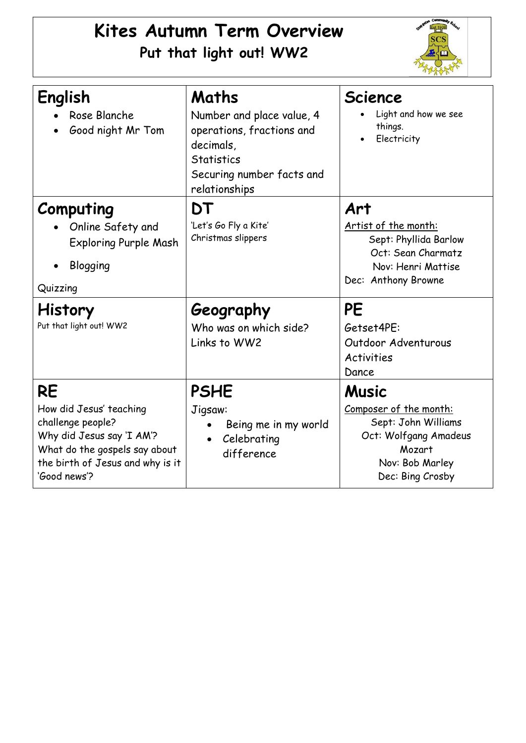## **Kites Autumn Term Overview Put that light out! WW2**



| English<br>Rose Blanche<br>Good night Mr Tom                                                                                                                                | Maths<br>Number and place value, 4<br>operations, fractions and<br>decimals,<br><b>Statistics</b><br>Securing number facts and<br>relationships | <b>Science</b><br>Light and how we see<br>things.<br>Electricity                                                                        |
|-----------------------------------------------------------------------------------------------------------------------------------------------------------------------------|-------------------------------------------------------------------------------------------------------------------------------------------------|-----------------------------------------------------------------------------------------------------------------------------------------|
| Computing<br>Online Safety and<br><b>Exploring Purple Mash</b><br>Blogging<br>Quizzing                                                                                      | DT<br>'Let's Go Fly a Kite'<br>Christmas slippers                                                                                               | Art<br>Artist of the month:<br>Sept: Phyllida Barlow<br>Oct: Sean Charmatz<br>Nov: Henri Mattise<br>Dec: Anthony Browne                 |
| <b>History</b><br>Put that light out! WW2                                                                                                                                   | Geography<br>Who was on which side?<br>Links to WW2                                                                                             | PE<br>Getset4PE:<br>Outdoor Adventurous<br><b>Activities</b><br>Dance                                                                   |
| <b>RE</b><br>How did Jesus' teaching<br>challenge people?<br>Why did Jesus say 'I AM'?<br>What do the gospels say about<br>the birth of Jesus and why is it<br>'Good news'? | <b>PSHE</b><br>Jigsaw:<br>Being me in my world<br>Celebrating<br>$\bullet$<br>difference                                                        | <b>Music</b><br>Composer of the month:<br>Sept: John Williams<br>Oct: Wolfgang Amadeus<br>Mozart<br>Nov: Bob Marley<br>Dec: Bing Crosby |